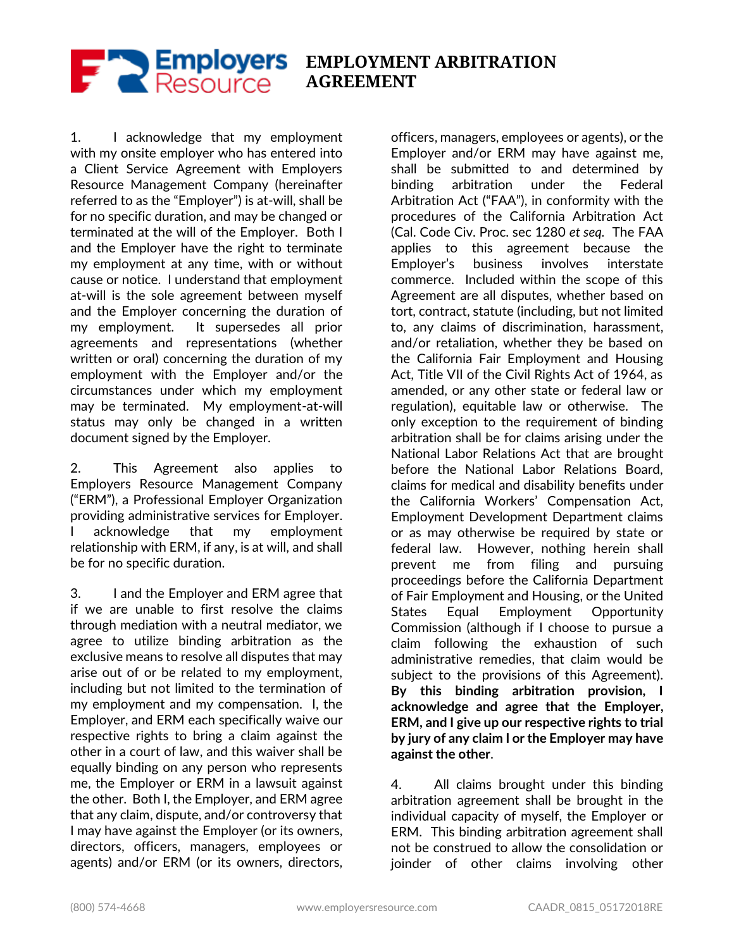

**EMPLOYMENT ARBITRATION AGREEMENT**

1. I acknowledge that my employment with my onsite employer who has entered into a Client Service Agreement with Employers Resource Management Company (hereinafter referred to as the "Employer") is at-will, shall be for no specific duration, and may be changed or terminated at the will of the Employer. Both I and the Employer have the right to terminate my employment at any time, with or without cause or notice. I understand that employment at-will is the sole agreement between myself and the Employer concerning the duration of my employment. It supersedes all prior agreements and representations (whether written or oral) concerning the duration of my employment with the Employer and/or the circumstances under which my employment may be terminated. My employment-at-will status may only be changed in a written document signed by the Employer.

2. This Agreement also applies to Employers Resource Management Company ("ERM"), a Professional Employer Organization providing administrative services for Employer. acknowledge that my employment relationship with ERM, if any, is at will, and shall be for no specific duration.

3. I and the Employer and ERM agree that if we are unable to first resolve the claims through mediation with a neutral mediator, we agree to utilize binding arbitration as the exclusive means to resolve all disputes that may arise out of or be related to my employment, including but not limited to the termination of my employment and my compensation. I, the Employer, and ERM each specifically waive our respective rights to bring a claim against the other in a court of law, and this waiver shall be equally binding on any person who represents me, the Employer or ERM in a lawsuit against the other. Both I, the Employer, and ERM agree that any claim, dispute, and/or controversy that I may have against the Employer (or its owners, directors, officers, managers, employees or agents) and/or ERM (or its owners, directors,

officers, managers, employees or agents), or the Employer and/or ERM may have against me, shall be submitted to and determined by binding arbitration under the Federal Arbitration Act ("FAA"), in conformity with the procedures of the California Arbitration Act (Cal. Code Civ. Proc. sec 1280 *et seq.* The FAA applies to this agreement because the Employer's business involves interstate commerce. Included within the scope of this Agreement are all disputes, whether based on tort, contract, statute (including, but not limited to, any claims of discrimination, harassment, and/or retaliation, whether they be based on the California Fair Employment and Housing Act, Title VII of the Civil Rights Act of 1964, as amended, or any other state or federal law or regulation), equitable law or otherwise. The only exception to the requirement of binding arbitration shall be for claims arising under the National Labor Relations Act that are brought before the National Labor Relations Board, claims for medical and disability benefits under the California Workers' Compensation Act, Employment Development Department claims or as may otherwise be required by state or federal law. However, nothing herein shall prevent me from filing and pursuing proceedings before the California Department of Fair Employment and Housing, or the United States Equal Employment Opportunity Commission (although if I choose to pursue a claim following the exhaustion of such administrative remedies, that claim would be subject to the provisions of this Agreement). **By this binding arbitration provision, I acknowledge and agree that the Employer, ERM, and I give up our respective rights to trial by jury of any claim I or the Employer may have against the other**.

4. All claims brought under this binding arbitration agreement shall be brought in the individual capacity of myself, the Employer or ERM. This binding arbitration agreement shall not be construed to allow the consolidation or joinder of other claims involving other